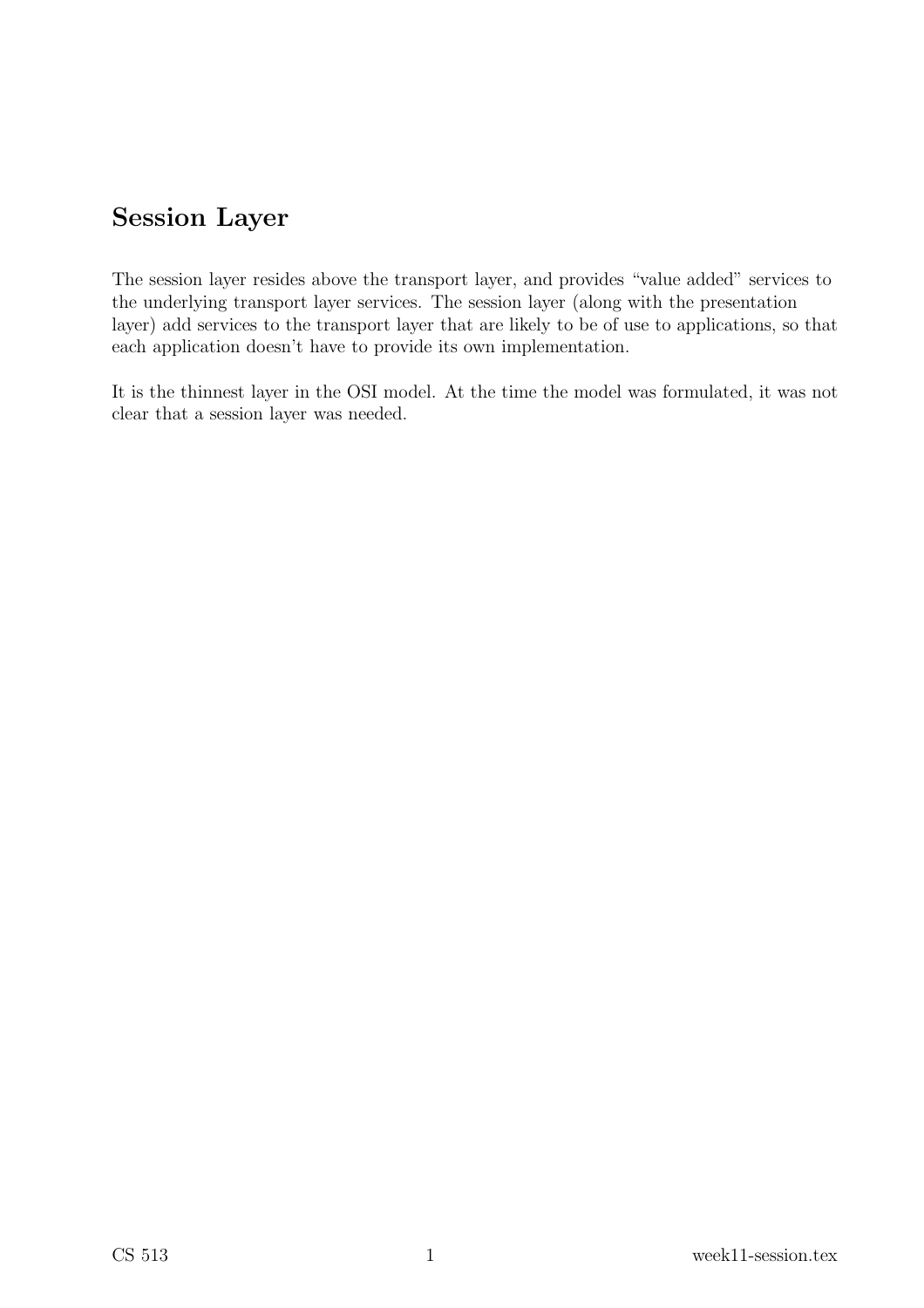# Session Layer

The session layer resides above the transport layer, and provides "value added" services to the underlying transport layer services. The session layer (along with the presentation layer) add services to the transport layer that are likely to be of use to applications, so that each application doesn't have to provide its own implementation.

It is the thinnest layer in the OSI model. At the time the model was formulated, it was not clear that a session layer was needed.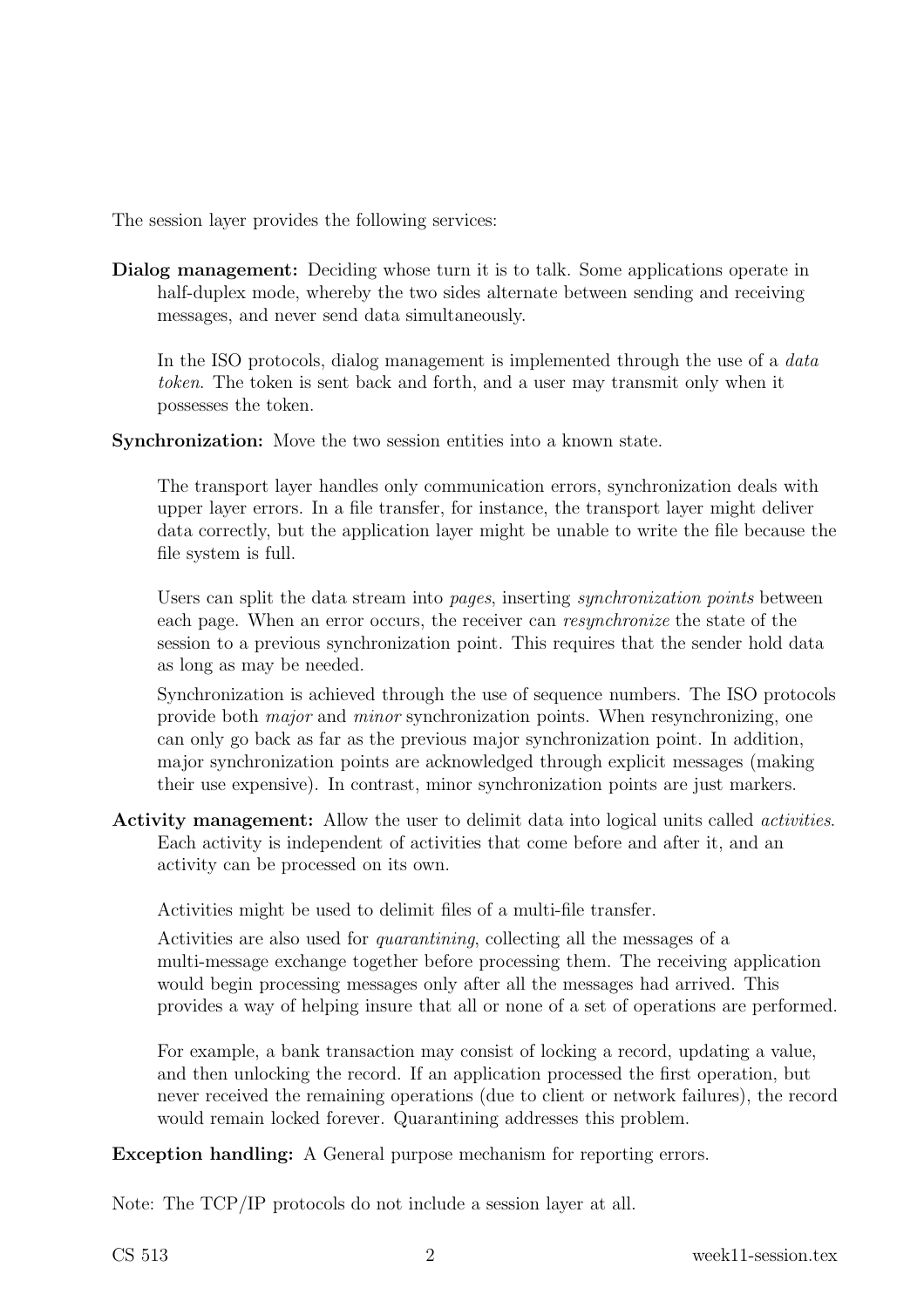The session layer provides the following services:

Dialog management: Deciding whose turn it is to talk. Some applications operate in half-duplex mode, whereby the two sides alternate between sending and receiving messages, and never send data simultaneously.

In the ISO protocols, dialog management is implemented through the use of a *data* token. The token is sent back and forth, and a user may transmit only when it possesses the token.

Synchronization: Move the two session entities into a known state.

The transport layer handles only communication errors, synchronization deals with upper layer errors. In a file transfer, for instance, the transport layer might deliver data correctly, but the application layer might be unable to write the file because the file system is full.

Users can split the data stream into *pages*, inserting *synchronization points* between each page. When an error occurs, the receiver can resynchronize the state of the session to a previous synchronization point. This requires that the sender hold data as long as may be needed.

Synchronization is achieved through the use of sequence numbers. The ISO protocols provide both major and minor synchronization points. When resynchronizing, one can only go back as far as the previous major synchronization point. In addition, major synchronization points are acknowledged through explicit messages (making their use expensive). In contrast, minor synchronization points are just markers.

Activity management: Allow the user to delimit data into logical units called activities. Each activity is independent of activities that come before and after it, and an activity can be processed on its own.

Activities might be used to delimit files of a multi-file transfer.

Activities are also used for quarantining, collecting all the messages of a multi-message exchange together before processing them. The receiving application would begin processing messages only after all the messages had arrived. This provides a way of helping insure that all or none of a set of operations are performed.

For example, a bank transaction may consist of locking a record, updating a value, and then unlocking the record. If an application processed the first operation, but never received the remaining operations (due to client or network failures), the record would remain locked forever. Quarantining addresses this problem.

Exception handling: A General purpose mechanism for reporting errors.

Note: The TCP/IP protocols do not include a session layer at all.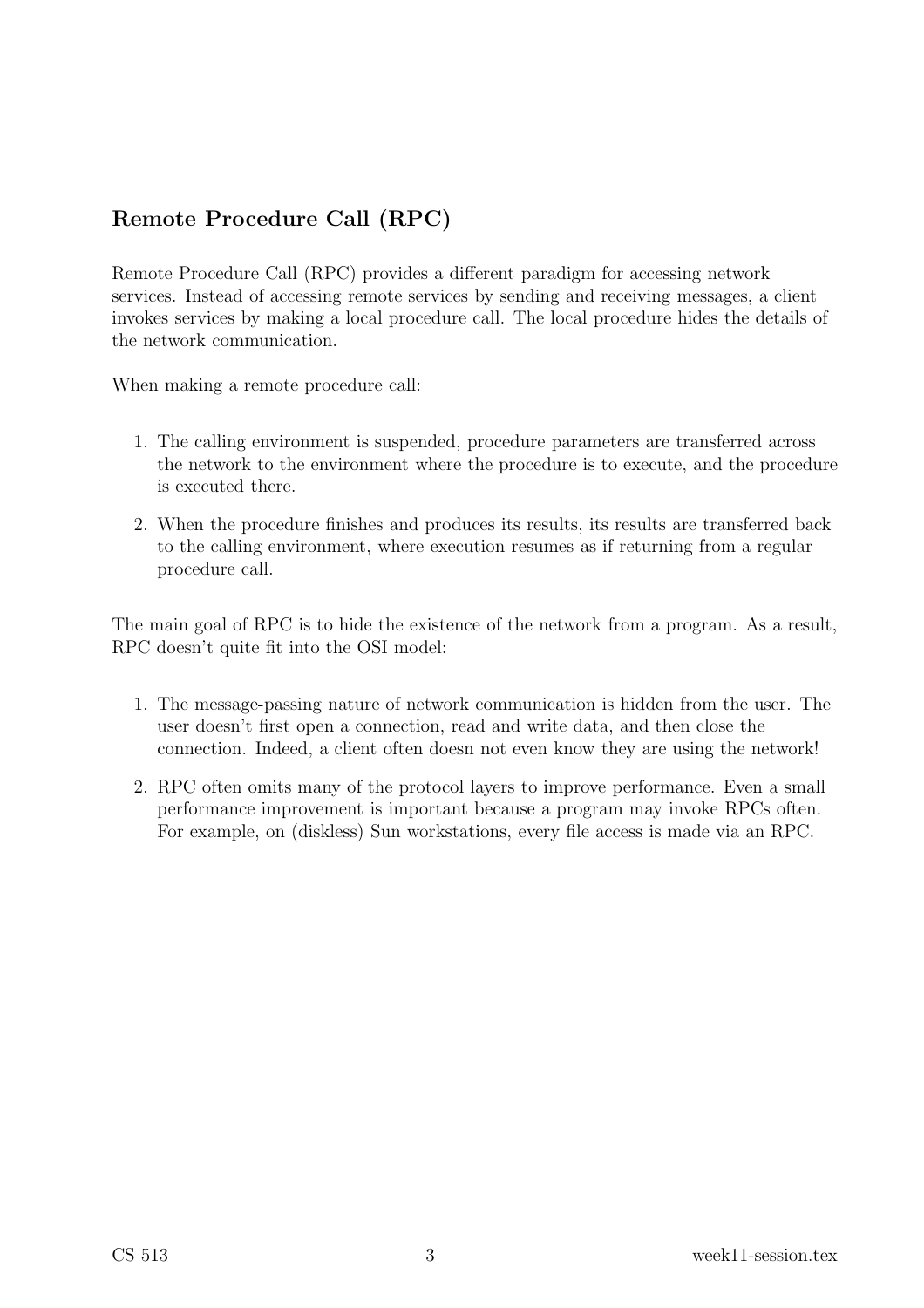## Remote Procedure Call (RPC)

Remote Procedure Call (RPC) provides a different paradigm for accessing network services. Instead of accessing remote services by sending and receiving messages, a client invokes services by making a local procedure call. The local procedure hides the details of the network communication.

When making a remote procedure call:

- 1. The calling environment is suspended, procedure parameters are transferred across the network to the environment where the procedure is to execute, and the procedure is executed there.
- 2. When the procedure finishes and produces its results, its results are transferred back to the calling environment, where execution resumes as if returning from a regular procedure call.

The main goal of RPC is to hide the existence of the network from a program. As a result, RPC doesn't quite fit into the OSI model:

- 1. The message-passing nature of network communication is hidden from the user. The user doesn't first open a connection, read and write data, and then close the connection. Indeed, a client often doesn not even know they are using the network!
- 2. RPC often omits many of the protocol layers to improve performance. Even a small performance improvement is important because a program may invoke RPCs often. For example, on (diskless) Sun workstations, every file access is made via an RPC.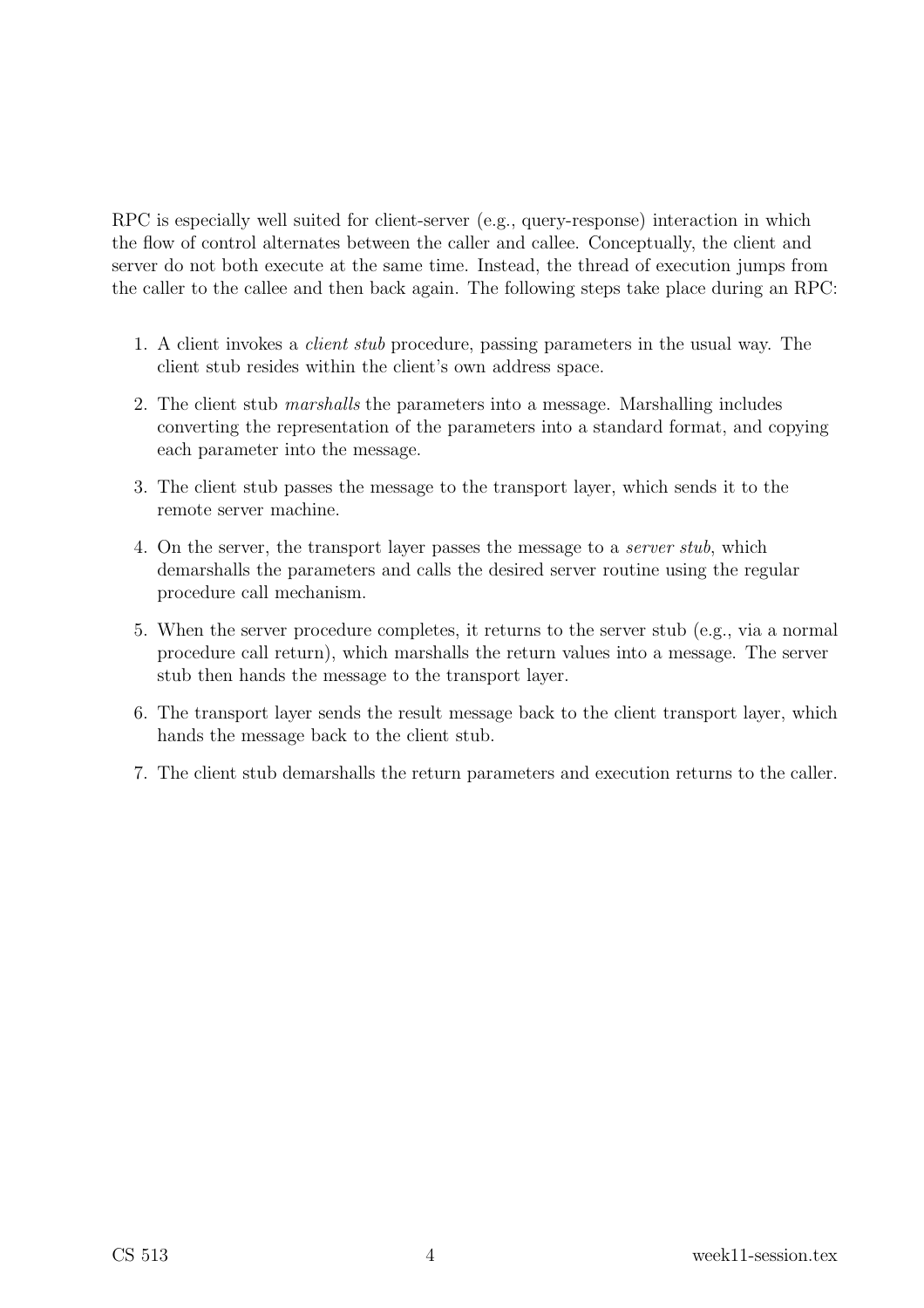RPC is especially well suited for client-server (e.g., query-response) interaction in which the flow of control alternates between the caller and callee. Conceptually, the client and server do not both execute at the same time. Instead, the thread of execution jumps from the caller to the callee and then back again. The following steps take place during an RPC:

- 1. A client invokes a client stub procedure, passing parameters in the usual way. The client stub resides within the client's own address space.
- 2. The client stub marshalls the parameters into a message. Marshalling includes converting the representation of the parameters into a standard format, and copying each parameter into the message.
- 3. The client stub passes the message to the transport layer, which sends it to the remote server machine.
- 4. On the server, the transport layer passes the message to a server stub, which demarshalls the parameters and calls the desired server routine using the regular procedure call mechanism.
- 5. When the server procedure completes, it returns to the server stub (e.g., via a normal procedure call return), which marshalls the return values into a message. The server stub then hands the message to the transport layer.
- 6. The transport layer sends the result message back to the client transport layer, which hands the message back to the client stub.
- 7. The client stub demarshalls the return parameters and execution returns to the caller.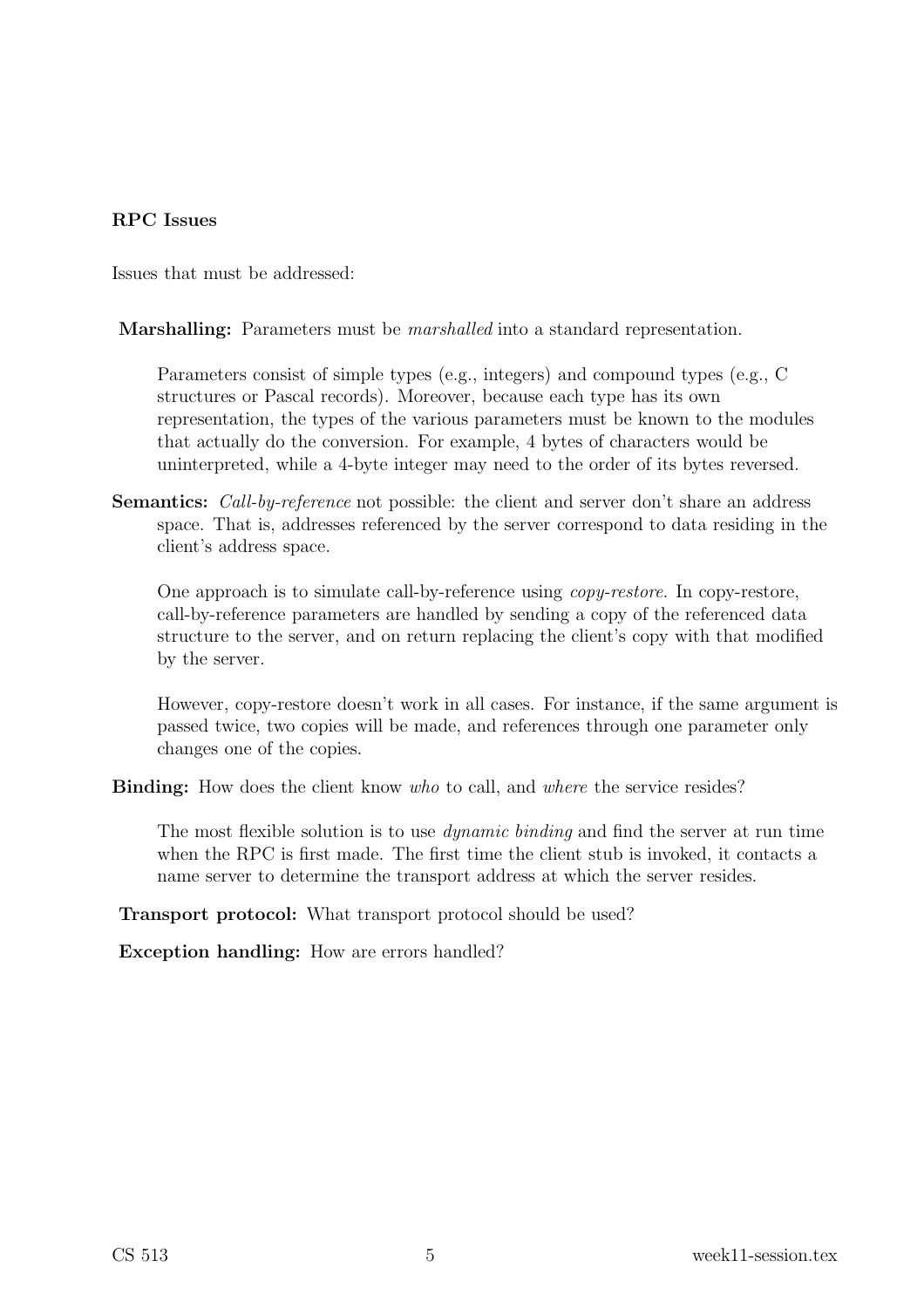#### RPC Issues

Issues that must be addressed:

Marshalling: Parameters must be marshalled into a standard representation.

Parameters consist of simple types (e.g., integers) and compound types (e.g., C structures or Pascal records). Moreover, because each type has its own representation, the types of the various parameters must be known to the modules that actually do the conversion. For example, 4 bytes of characters would be uninterpreted, while a 4-byte integer may need to the order of its bytes reversed.

Semantics: *Call-by-reference* not possible: the client and server don't share an address space. That is, addresses referenced by the server correspond to data residing in the client's address space.

One approach is to simulate call-by-reference using copy-restore. In copy-restore, call-by-reference parameters are handled by sending a copy of the referenced data structure to the server, and on return replacing the client's copy with that modified by the server.

However, copy-restore doesn't work in all cases. For instance, if the same argument is passed twice, two copies will be made, and references through one parameter only changes one of the copies.

**Binding:** How does the client know *who* to call, and *where* the service resides?

The most flexible solution is to use *dynamic binding* and find the server at run time when the RPC is first made. The first time the client stub is invoked, it contacts a name server to determine the transport address at which the server resides.

**Transport protocol:** What transport protocol should be used?

Exception handling: How are errors handled?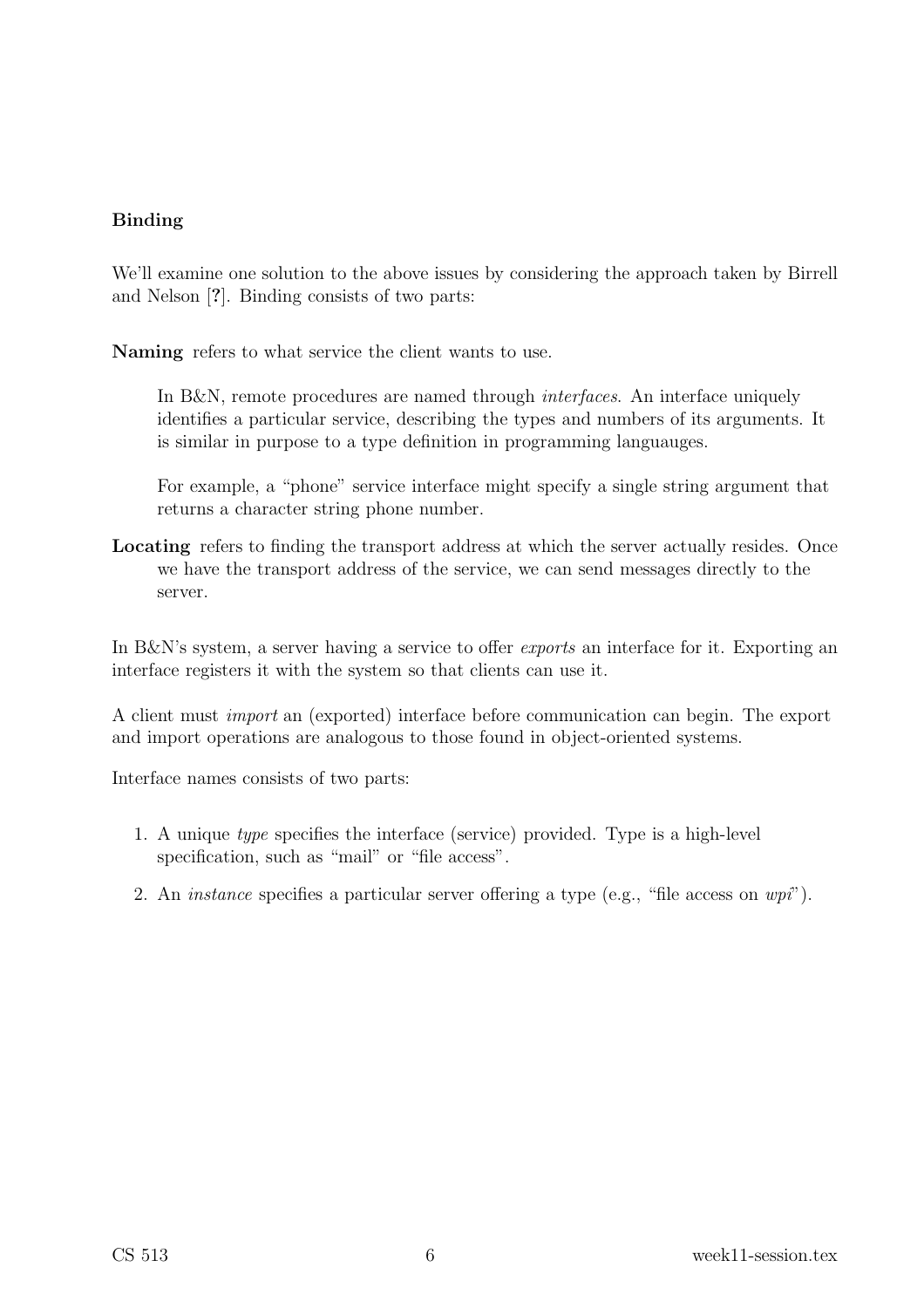#### Binding

We'll examine one solution to the above issues by considering the approach taken by Birrell and Nelson [?]. Binding consists of two parts:

Naming refers to what service the client wants to use.

In B&N, remote procedures are named through *interfaces*. An interface uniquely identifies a particular service, describing the types and numbers of its arguments. It is similar in purpose to a type definition in programming languauges.

For example, a "phone" service interface might specify a single string argument that returns a character string phone number.

Locating refers to finding the transport address at which the server actually resides. Once we have the transport address of the service, we can send messages directly to the server.

In B&N's system, a server having a service to offer *exports* an interface for it. Exporting an interface registers it with the system so that clients can use it.

A client must import an (exported) interface before communication can begin. The export and import operations are analogous to those found in object-oriented systems.

Interface names consists of two parts:

- 1. A unique type specifies the interface (service) provided. Type is a high-level specification, such as "mail" or "file access".
- 2. An *instance* specifies a particular server offering a type (e.g., "file access on  $wpi$ ").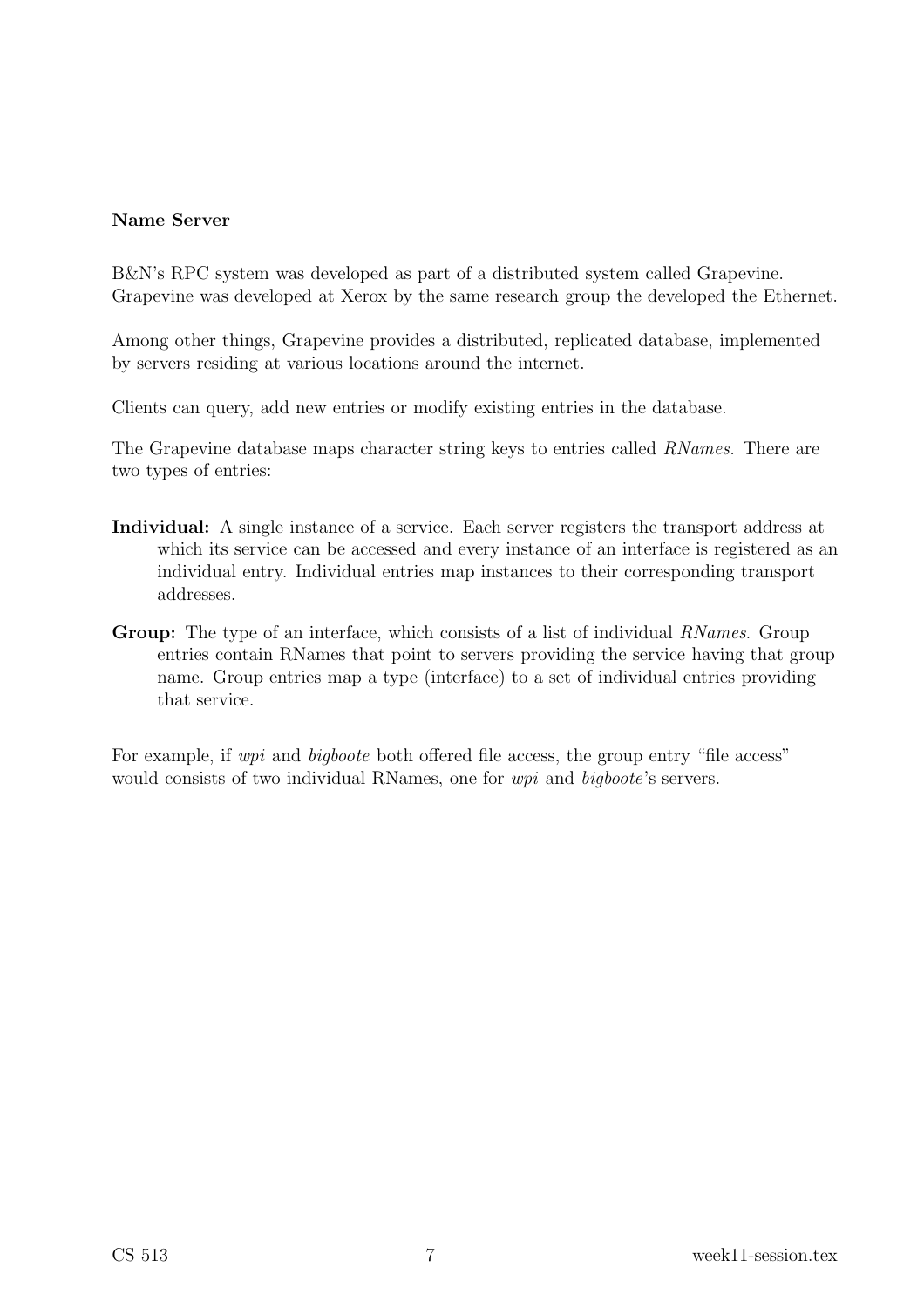#### Name Server

B&N's RPC system was developed as part of a distributed system called Grapevine. Grapevine was developed at Xerox by the same research group the developed the Ethernet.

Among other things, Grapevine provides a distributed, replicated database, implemented by servers residing at various locations around the internet.

Clients can query, add new entries or modify existing entries in the database.

The Grapevine database maps character string keys to entries called RNames. There are two types of entries:

- Individual: A single instance of a service. Each server registers the transport address at which its service can be accessed and every instance of an interface is registered as an individual entry. Individual entries map instances to their corresponding transport addresses.
- Group: The type of an interface, which consists of a list of individual RNames. Group entries contain RNames that point to servers providing the service having that group name. Group entries map a type (interface) to a set of individual entries providing that service.

For example, if *wpi* and *bigboote* both offered file access, the group entry "file access" would consists of two individual RNames, one for *wpi* and *bigboote's* servers.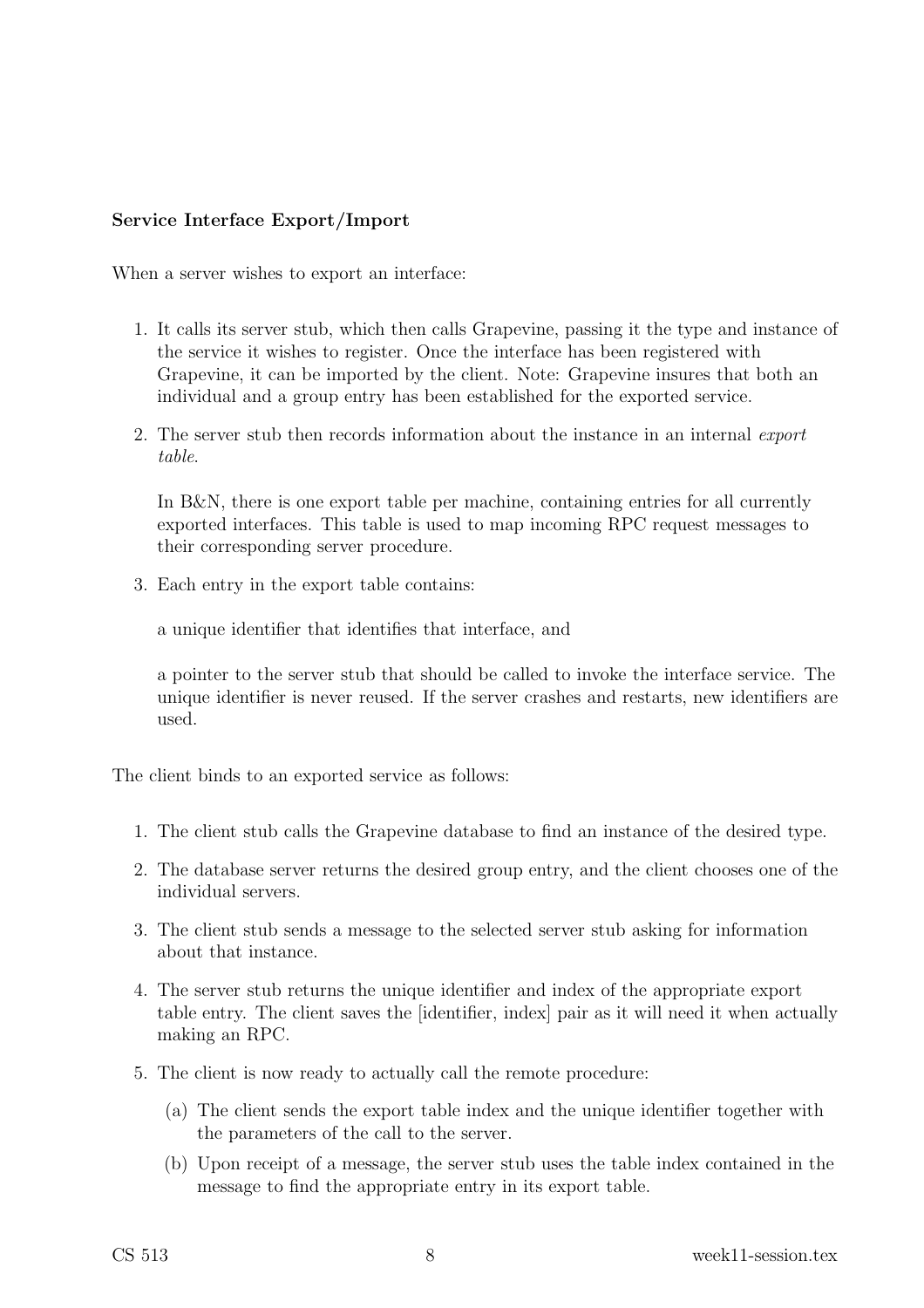#### Service Interface Export/Import

When a server wishes to export an interface:

- 1. It calls its server stub, which then calls Grapevine, passing it the type and instance of the service it wishes to register. Once the interface has been registered with Grapevine, it can be imported by the client. Note: Grapevine insures that both an individual and a group entry has been established for the exported service.
- 2. The server stub then records information about the instance in an internal export table.

In B&N, there is one export table per machine, containing entries for all currently exported interfaces. This table is used to map incoming RPC request messages to their corresponding server procedure.

3. Each entry in the export table contains:

a unique identifier that identifies that interface, and

a pointer to the server stub that should be called to invoke the interface service. The unique identifier is never reused. If the server crashes and restarts, new identifiers are used.

The client binds to an exported service as follows:

- 1. The client stub calls the Grapevine database to find an instance of the desired type.
- 2. The database server returns the desired group entry, and the client chooses one of the individual servers.
- 3. The client stub sends a message to the selected server stub asking for information about that instance.
- 4. The server stub returns the unique identifier and index of the appropriate export table entry. The client saves the [identifier, index] pair as it will need it when actually making an RPC.
- 5. The client is now ready to actually call the remote procedure:
	- (a) The client sends the export table index and the unique identifier together with the parameters of the call to the server.
	- (b) Upon receipt of a message, the server stub uses the table index contained in the message to find the appropriate entry in its export table.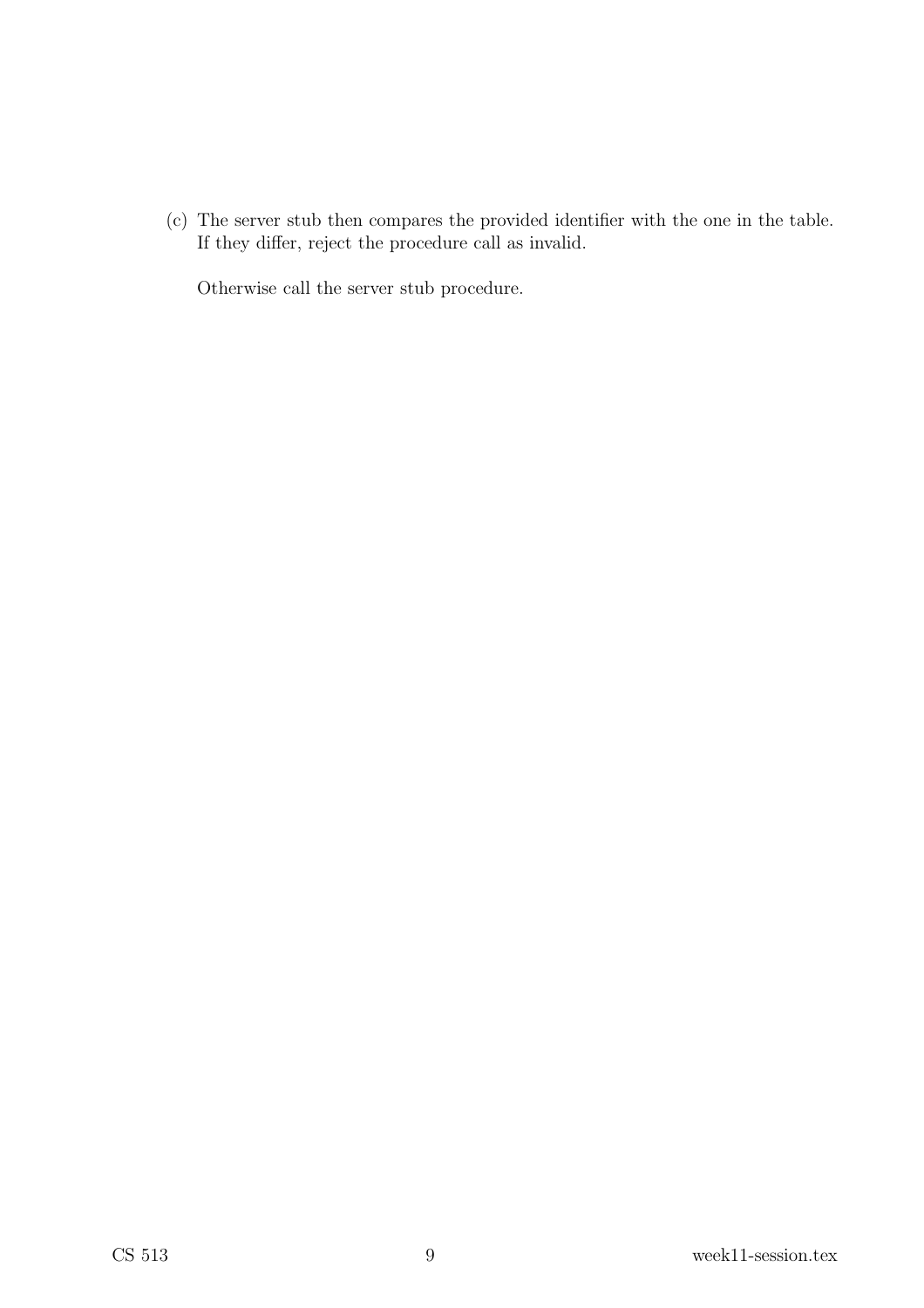(c) The server stub then compares the provided identifier with the one in the table. If they differ, reject the procedure call as invalid.

Otherwise call the server stub procedure.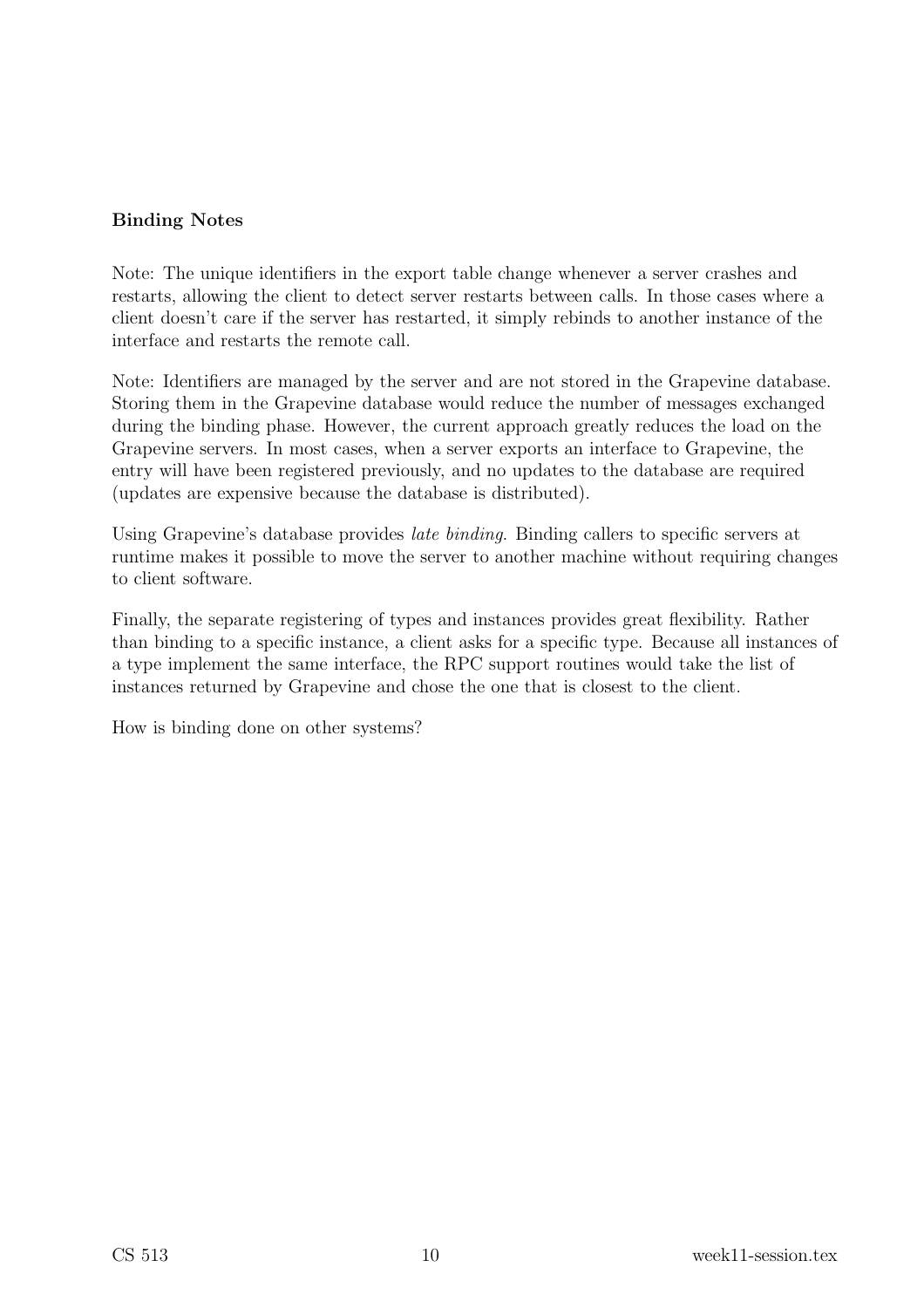#### Binding Notes

Note: The unique identifiers in the export table change whenever a server crashes and restarts, allowing the client to detect server restarts between calls. In those cases where a client doesn't care if the server has restarted, it simply rebinds to another instance of the interface and restarts the remote call.

Note: Identifiers are managed by the server and are not stored in the Grapevine database. Storing them in the Grapevine database would reduce the number of messages exchanged during the binding phase. However, the current approach greatly reduces the load on the Grapevine servers. In most cases, when a server exports an interface to Grapevine, the entry will have been registered previously, and no updates to the database are required (updates are expensive because the database is distributed).

Using Grapevine's database provides *late binding*. Binding callers to specific servers at runtime makes it possible to move the server to another machine without requiring changes to client software.

Finally, the separate registering of types and instances provides great flexibility. Rather than binding to a specific instance, a client asks for a specific type. Because all instances of a type implement the same interface, the RPC support routines would take the list of instances returned by Grapevine and chose the one that is closest to the client.

How is binding done on other systems?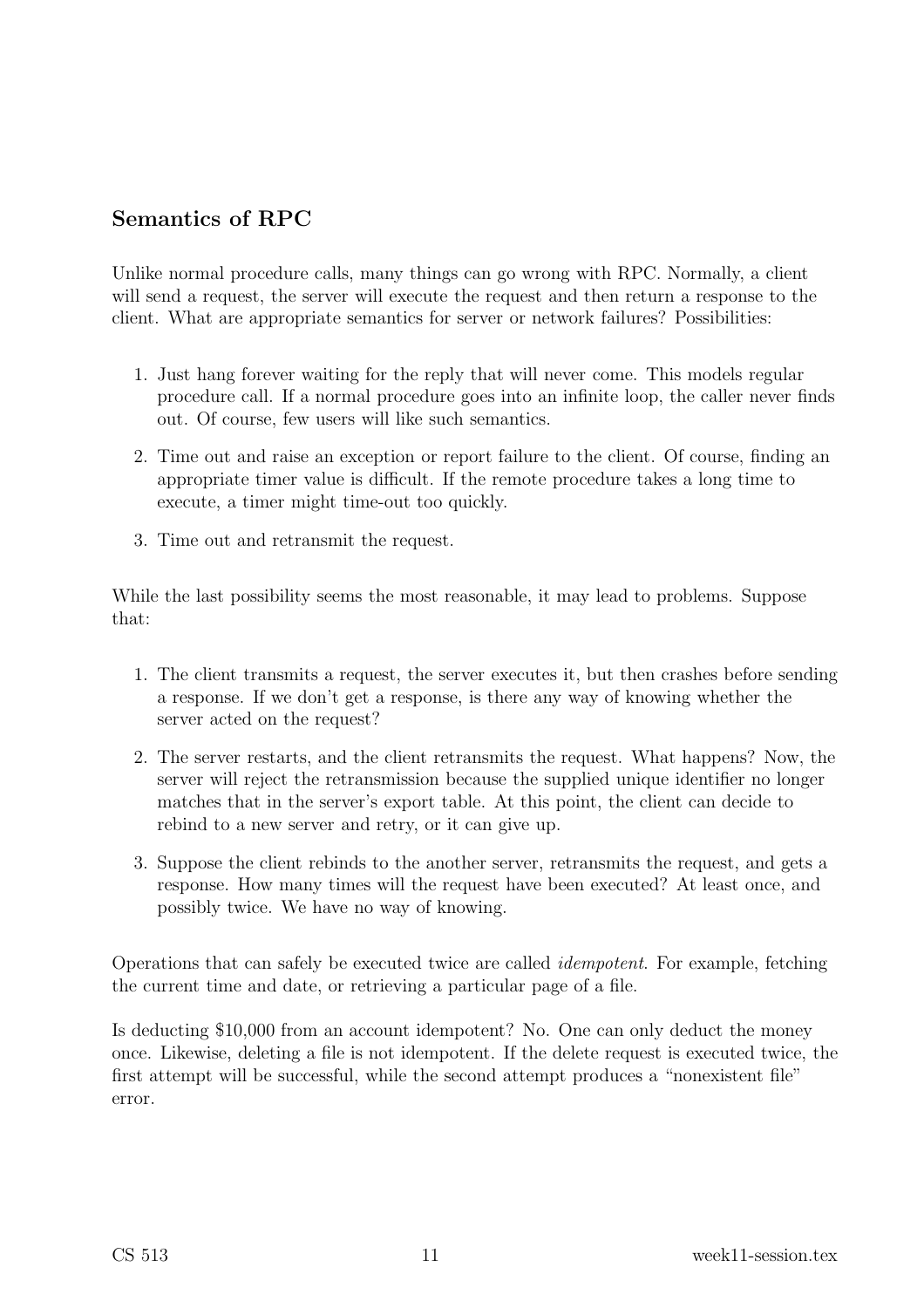### Semantics of RPC

Unlike normal procedure calls, many things can go wrong with RPC. Normally, a client will send a request, the server will execute the request and then return a response to the client. What are appropriate semantics for server or network failures? Possibilities:

- 1. Just hang forever waiting for the reply that will never come. This models regular procedure call. If a normal procedure goes into an infinite loop, the caller never finds out. Of course, few users will like such semantics.
- 2. Time out and raise an exception or report failure to the client. Of course, finding an appropriate timer value is difficult. If the remote procedure takes a long time to execute, a timer might time-out too quickly.
- 3. Time out and retransmit the request.

While the last possibility seems the most reasonable, it may lead to problems. Suppose that:

- 1. The client transmits a request, the server executes it, but then crashes before sending a response. If we don't get a response, is there any way of knowing whether the server acted on the request?
- 2. The server restarts, and the client retransmits the request. What happens? Now, the server will reject the retransmission because the supplied unique identifier no longer matches that in the server's export table. At this point, the client can decide to rebind to a new server and retry, or it can give up.
- 3. Suppose the client rebinds to the another server, retransmits the request, and gets a response. How many times will the request have been executed? At least once, and possibly twice. We have no way of knowing.

Operations that can safely be executed twice are called idempotent. For example, fetching the current time and date, or retrieving a particular page of a file.

Is deducting \$10,000 from an account idempotent? No. One can only deduct the money once. Likewise, deleting a file is not idempotent. If the delete request is executed twice, the first attempt will be successful, while the second attempt produces a "nonexistent file" error.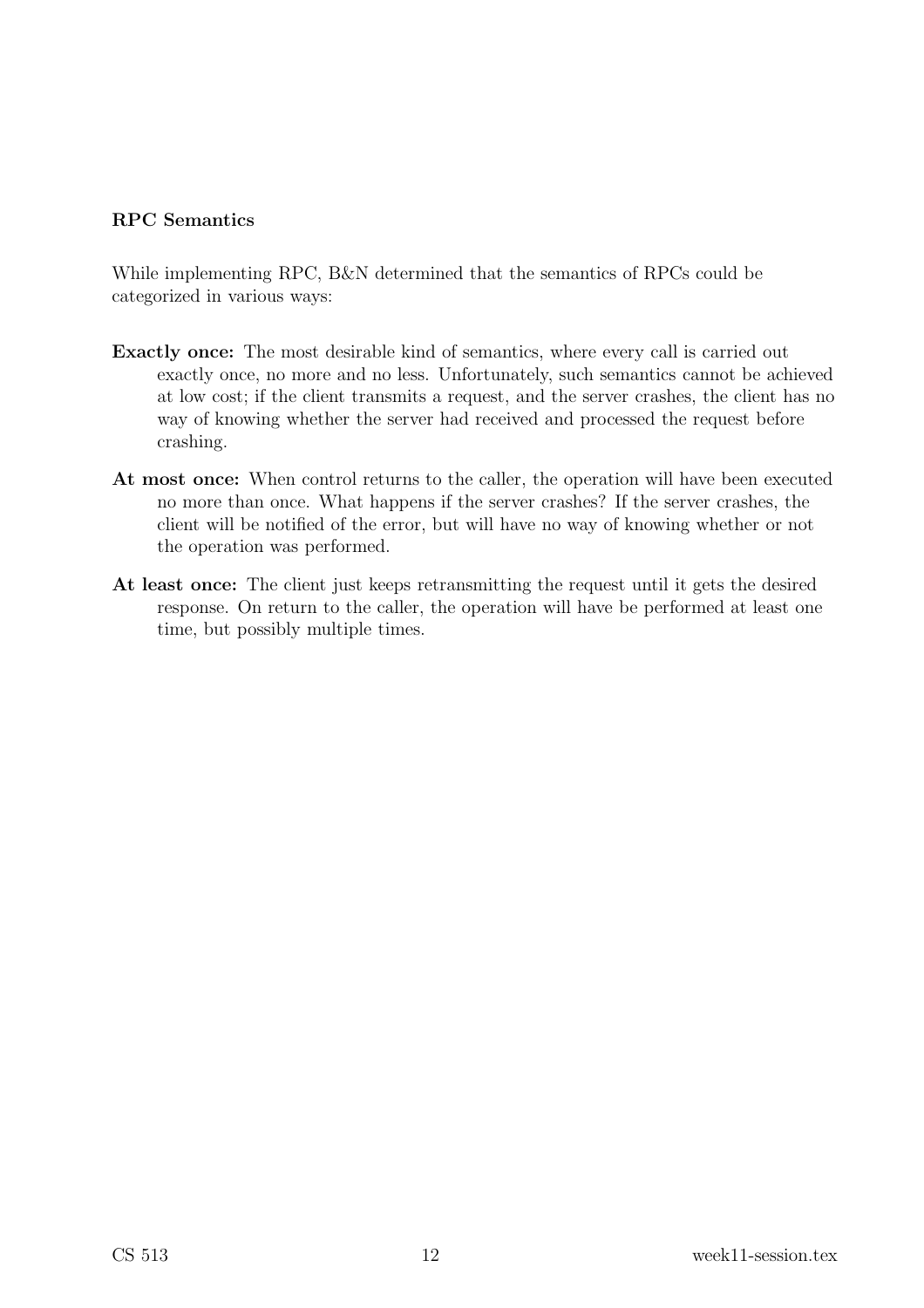#### RPC Semantics

While implementing RPC, B&N determined that the semantics of RPCs could be categorized in various ways:

- Exactly once: The most desirable kind of semantics, where every call is carried out exactly once, no more and no less. Unfortunately, such semantics cannot be achieved at low cost; if the client transmits a request, and the server crashes, the client has no way of knowing whether the server had received and processed the request before crashing.
- At most once: When control returns to the caller, the operation will have been executed no more than once. What happens if the server crashes? If the server crashes, the client will be notified of the error, but will have no way of knowing whether or not the operation was performed.
- At least once: The client just keeps retransmitting the request until it gets the desired response. On return to the caller, the operation will have be performed at least one time, but possibly multiple times.